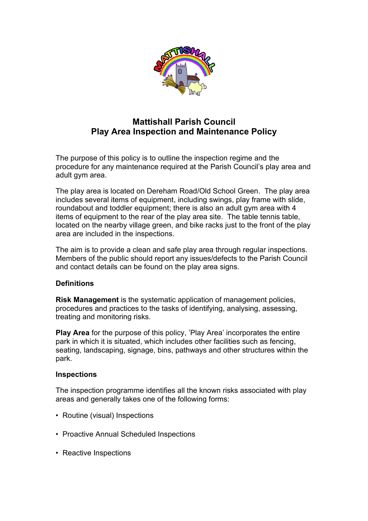

# **Mattishall Parish Council Play Area Inspection and Maintenance Policy**

The purpose of this policy is to outline the inspection regime and the procedure for any maintenance required at the Parish Council's play area and adult gym area.

The play area is located on Dereham Road/Old School Green. The play area includes several items of equipment, including swings, play frame with slide, roundabout and toddler equipment; there is also an adult gym area with 4 items of equipment to the rear of the play area site. The table tennis table, located on the nearby village green, and bike racks just to the front of the play area are included in the inspections.

The aim is to provide a clean and safe play area through regular inspections. Members of the public should report any issues/defects to the Parish Council and contact details can be found on the play area signs.

## **Definitions**

**Risk Management** is the systematic application of management policies, procedures and practices to the tasks of identifying, analysing, assessing, treating and monitoring risks.

**Play Area** for the purpose of this policy, 'Play Area' incorporates the entire park in which it is situated, which includes other facilities such as fencing, seating, landscaping, signage, bins, pathways and other structures within the park.

## **Inspections**

The inspection programme identifies all the known risks associated with play areas and generally takes one of the following forms:

- Routine (visual) Inspections
- Proactive Annual Scheduled Inspections
- Reactive Inspections